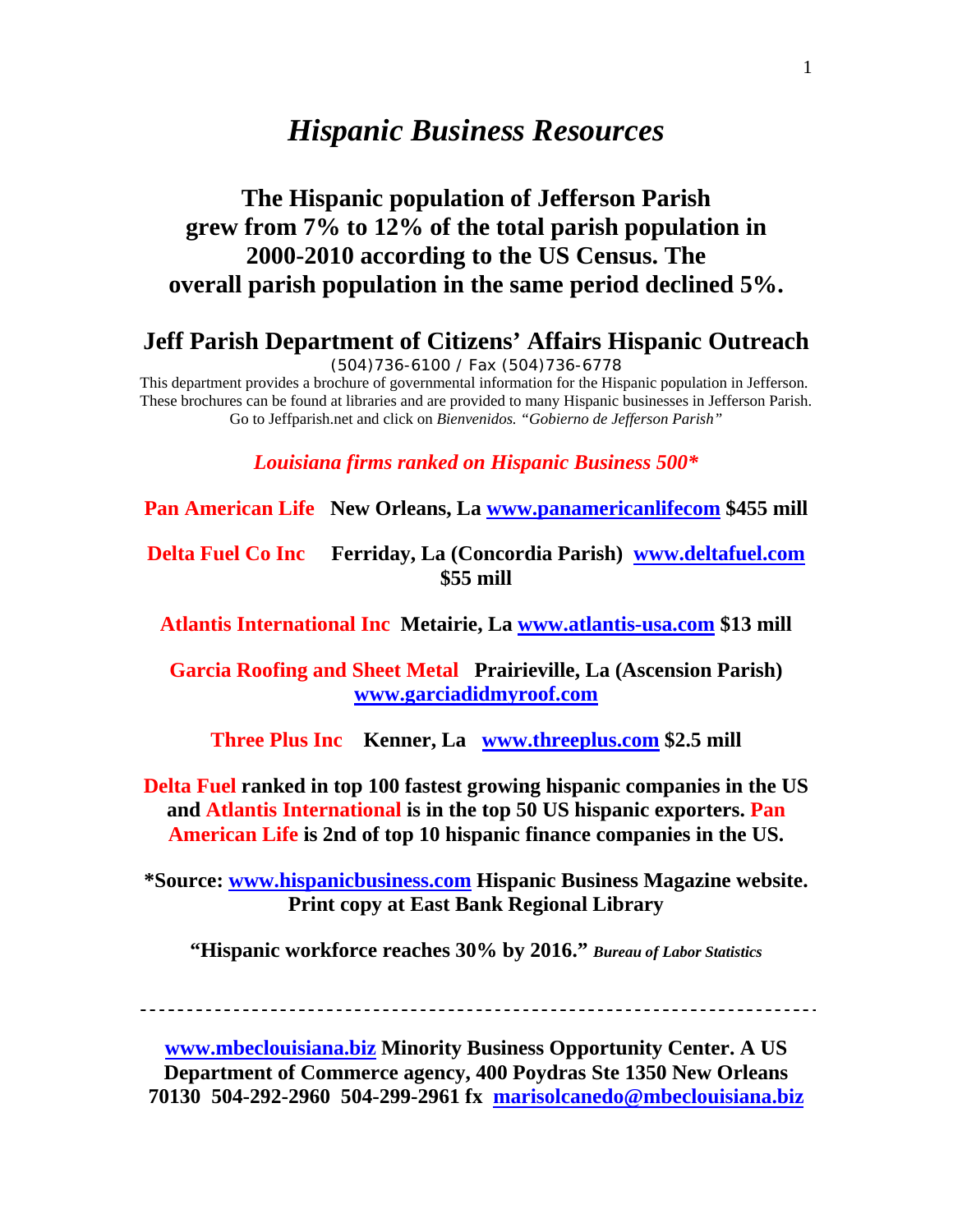# *Hispanic Business Resources*

# **The Hispanic population of Jefferson Parish grew from 7% to 12% of the total parish population in 2000-2010 according to the US Census. The overall parish population in the same period declined 5%.**

## **Jeff Parish Department of Citizens' Affairs Hispanic Outreach**

(504)736-6100 / Fax (504)736-6778

This department provides a brochure of governmental information for the Hispanic population in Jefferson. These brochures can be found at libraries and are provided to many Hispanic businesses in Jefferson Parish. Go to Jeffparish.net and click on *Bienvenidos. "Gobierno de Jefferson Parish"*

*Louisiana firms ranked on Hispanic Business 500\** 

**Pan American Life New Orleans, La www.panamericanlifecom \$455 mill** 

**Delta Fuel Co Inc Ferriday, La (Concordia Parish) www.deltafuel.com \$55 mill** 

**Atlantis International Inc Metairie, La www.atlantis-usa.com \$13 mill** 

**Garcia Roofing and Sheet Metal Prairieville, La (Ascension Parish) www.garciadidmyroof.com** 

**Three Plus Inc Kenner, La www.threeplus.com \$2.5 mill** 

**Delta Fuel ranked in top 100 fastest growing hispanic companies in the US and Atlantis International is in the top 50 US hispanic exporters. Pan American Life is 2nd of top 10 hispanic finance companies in the US.** 

**\*Source: www.hispanicbusiness.com Hispanic Business Magazine website. Print copy at East Bank Regional Library** 

**"Hispanic workforce reaches 30% by 2016."** *Bureau of Labor Statistics* 

**www.mbeclouisiana.biz Minority Business Opportunity Center. A US Department of Commerce agency, 400 Poydras Ste 1350 New Orleans 70130 504-292-2960 504-299-2961 fx marisolcanedo@mbeclouisiana.biz**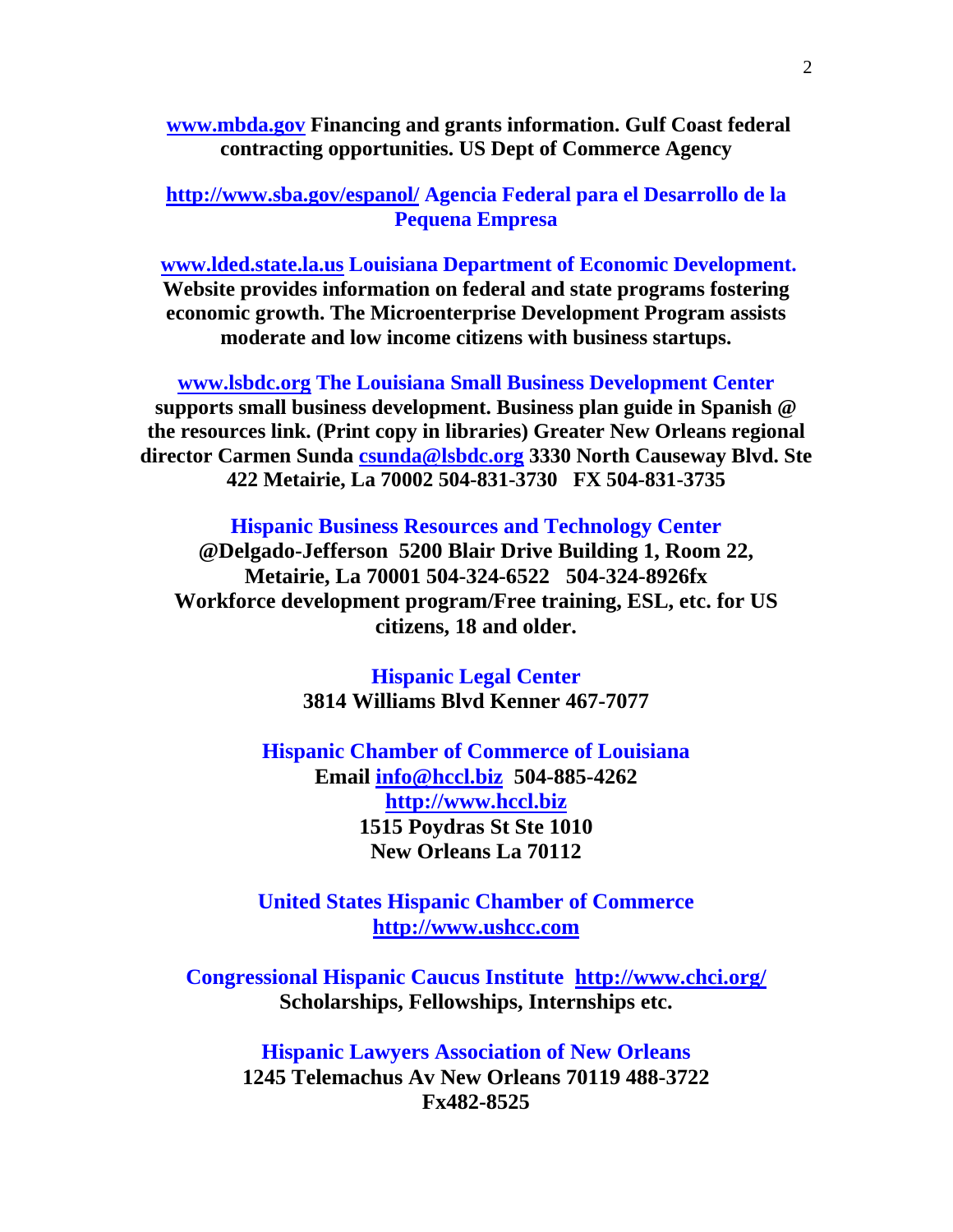**www.mbda.gov Financing and grants information. Gulf Coast federal contracting opportunities. US Dept of Commerce Agency** 

**http://www.sba.gov/espanol/ Agencia Federal para el Desarrollo de la Pequena Empresa**

**www.lded.state.la.us Louisiana Department of Economic Development. Website provides information on federal and state programs fostering economic growth. The Microenterprise Development Program assists moderate and low income citizens with business startups.** 

**www.lsbdc.org The Louisiana Small Business Development Center supports small business development. Business plan guide in Spanish @ the resources link. (Print copy in libraries) Greater New Orleans regional director Carmen Sunda csunda@lsbdc.org 3330 North Causeway Blvd. Ste 422 Metairie, La 70002 504-831-3730 FX 504-831-3735** 

**Hispanic Business Resources and Technology Center** 

**@Delgado-Jefferson 5200 Blair Drive Building 1, Room 22, Metairie, La 70001 504-324-6522 504-324-8926fx Workforce development program/Free training, ESL, etc. for US citizens, 18 and older.** 

> **Hispanic Legal Center 3814 Williams Blvd Kenner 467-7077**

**Hispanic Chamber of Commerce of Louisiana Email info@hccl.biz 504-885-4262 http://www.hccl.biz 1515 Poydras St Ste 1010 New Orleans La 70112** 

**United States Hispanic Chamber of Commerce http://www.ushcc.com**

**Congressional Hispanic Caucus Institute http://www.chci.org/ Scholarships, Fellowships, Internships etc.** 

**Hispanic Lawyers Association of New Orleans 1245 Telemachus Av New Orleans 70119 488-3722 Fx482-8525**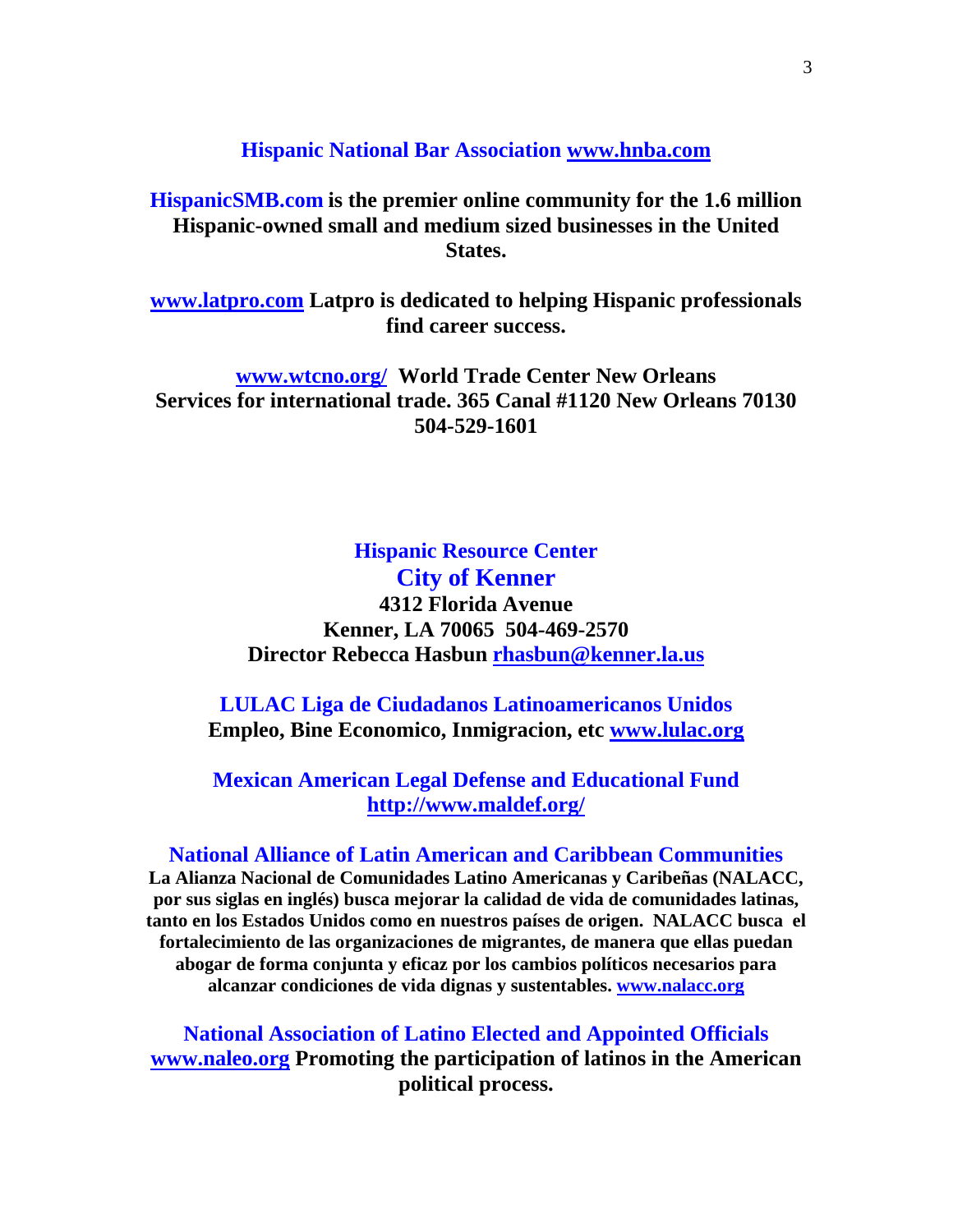#### **Hispanic National Bar Association www.hnba.com**

## **HispanicSMB.com is the premier online community for the 1.6 million Hispanic-owned small and medium sized businesses in the United States.**

**www.latpro.com Latpro is dedicated to helping Hispanic professionals find career success.** 

**www.wtcno.org/ World Trade Center New Orleans Services for international trade. 365 Canal #1120 New Orleans 70130 504-529-1601** 

## **Hispanic Resource Center City of Kenner 4312 Florida Avenue Kenner, LA 70065 504-469-2570 Director Rebecca Hasbun rhasbun@kenner.la.us**

**LULAC Liga de Ciudadanos Latinoamericanos Unidos Empleo, Bine Economico, Inmigracion, etc www.lulac.org**

**Mexican American Legal Defense and Educational Fund http://www.maldef.org/**

## **National Alliance of Latin American and Caribbean Communities**

**La Alianza Nacional de Comunidades Latino Americanas y Caribeñas (NALACC, por sus siglas en inglés) busca mejorar la calidad de vida de comunidades latinas, tanto en los Estados Unidos como en nuestros países de origen. NALACC busca el fortalecimiento de las organizaciones de migrantes, de manera que ellas puedan abogar de forma conjunta y eficaz por los cambios políticos necesarios para alcanzar condiciones de vida dignas y sustentables. www.nalacc.org**

**National Association of Latino Elected and Appointed Officials www.naleo.org Promoting the participation of latinos in the American political process.**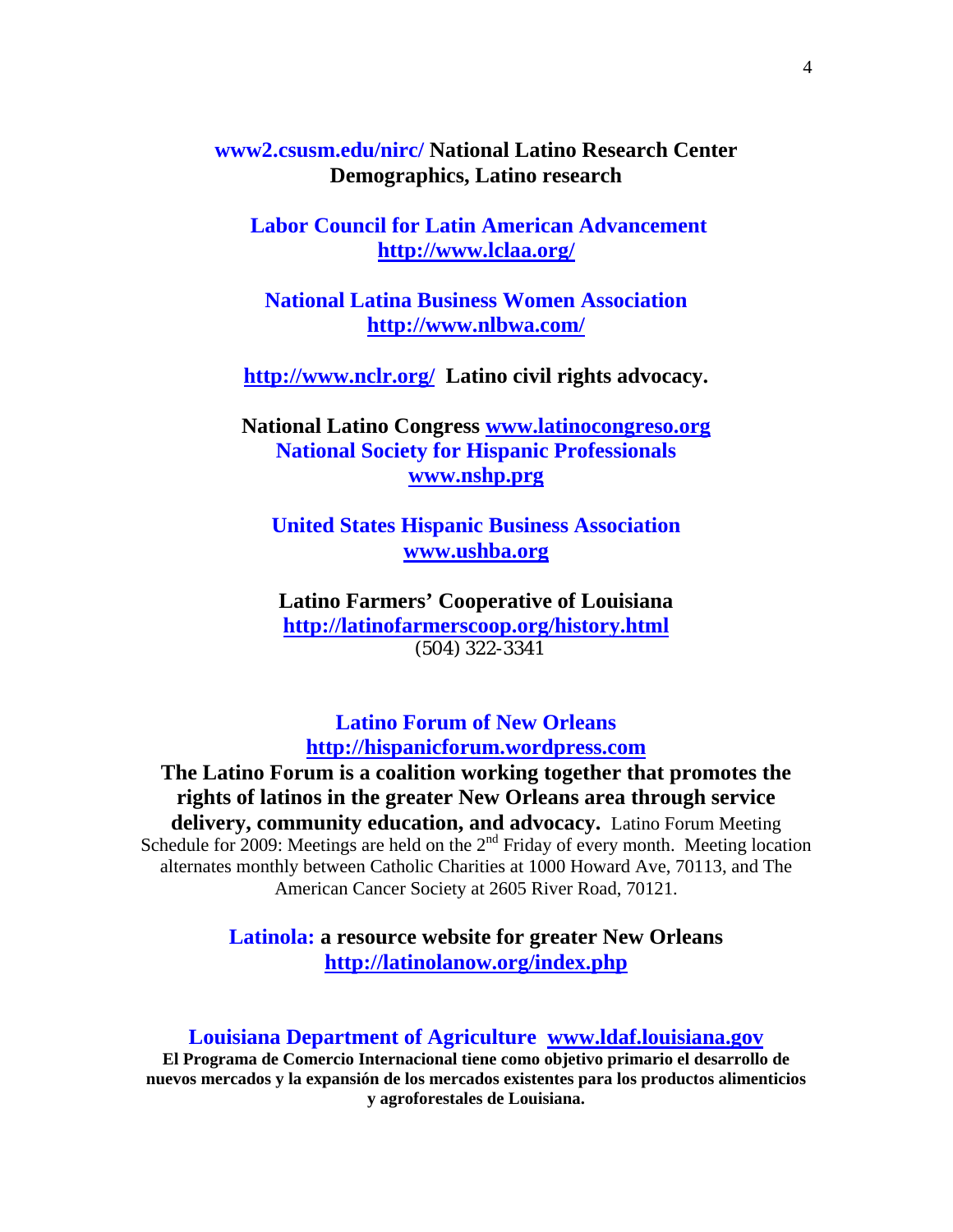**www2.csusm.edu/nirc/ National Latino Research Center Demographics, Latino research** 

 **Labor Council for Latin American Advancement http://www.lclaa.org/**

**National Latina Business Women Association http://www.nlbwa.com/**

**http://www.nclr.org/ Latino civil rights advocacy.** 

**National Latino Congress www.latinocongreso.org National Society for Hispanic Professionals www.nshp.prg**

**United States Hispanic Business Association www.ushba.org** 

**Latino Farmers' Cooperative of Louisiana http://latinofarmerscoop.org/history.html** (504) 322-3341

**Latino Forum of New Orleans http://hispanicforum.wordpress.com**

**The Latino Forum is a coalition working together that promotes the rights of latinos in the greater New Orleans area through service delivery, community education, and advocacy.** Latino Forum Meeting Schedule for 2009: Meetings are held on the  $2<sup>nd</sup>$  Friday of every month. Meeting location alternates monthly between Catholic Charities at 1000 Howard Ave, 70113, and The American Cancer Society at 2605 River Road, 70121.

> **Latinola: a resource website for greater New Orleans http://latinolanow.org/index.php**

#### **Louisiana Department of Agriculture www.ldaf.louisiana.gov**

**El Programa de Comercio Internacional tiene como objetivo primario el desarrollo de nuevos mercados y la expansión de los mercados existentes para los productos alimenticios y agroforestales de Louisiana.**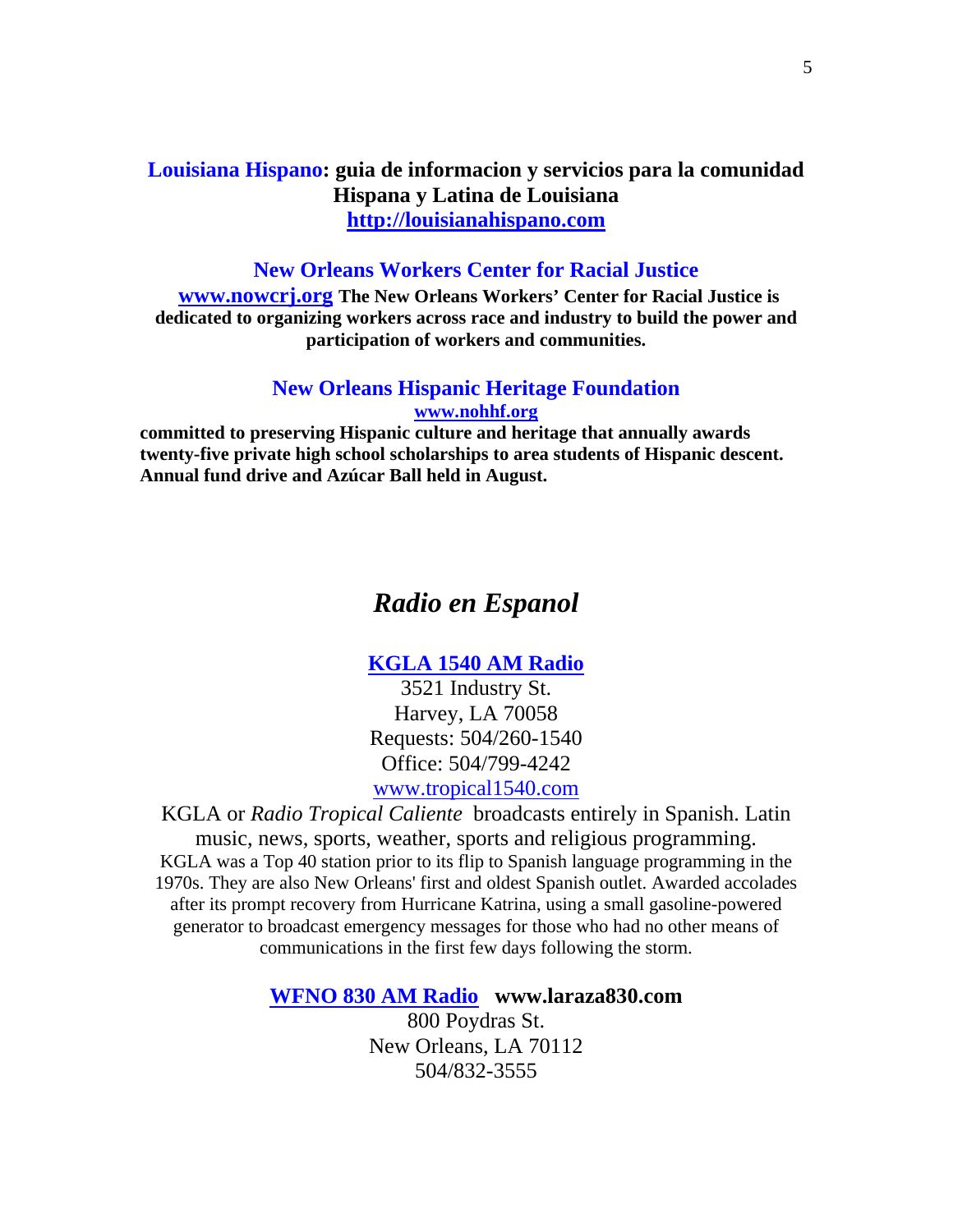## **Louisiana Hispano: guia de informacion y servicios para la comunidad Hispana y Latina de Louisiana http://louisianahispano.com**

#### **New Orleans Workers Center for Racial Justice**

**www.nowcrj.org The New Orleans Workers' Center for Racial Justice is dedicated to organizing workers across race and industry to build the power and participation of workers and communities.**

#### **New Orleans Hispanic Heritage Foundation www.nohhf.org**

**committed to preserving Hispanic culture and heritage that annually awards twenty-five private high school scholarships to area students of Hispanic descent. Annual fund drive and Azúcar Ball held in August.** 

## *Radio en Espanol*

### **KGLA 1540 AM Radio**

3521 Industry St. Harvey, LA 70058 Requests: 504/260-1540 Office: 504/799-4242 www.tropical1540.com

KGLA or *Radio Tropical Caliente* broadcasts entirely in Spanish. Latin music, news, sports, weather, sports and religious programming. KGLA was a Top 40 station prior to its flip to Spanish language programming in the 1970s. They are also New Orleans' first and oldest Spanish outlet. Awarded accolades after its prompt recovery from Hurricane Katrina, using a small gasoline-powered generator to broadcast emergency messages for those who had no other means of communications in the first few days following the storm.

#### **WFNO 830 AM Radio www.laraza830.com**

800 Poydras St. New Orleans, LA 70112 504/832-3555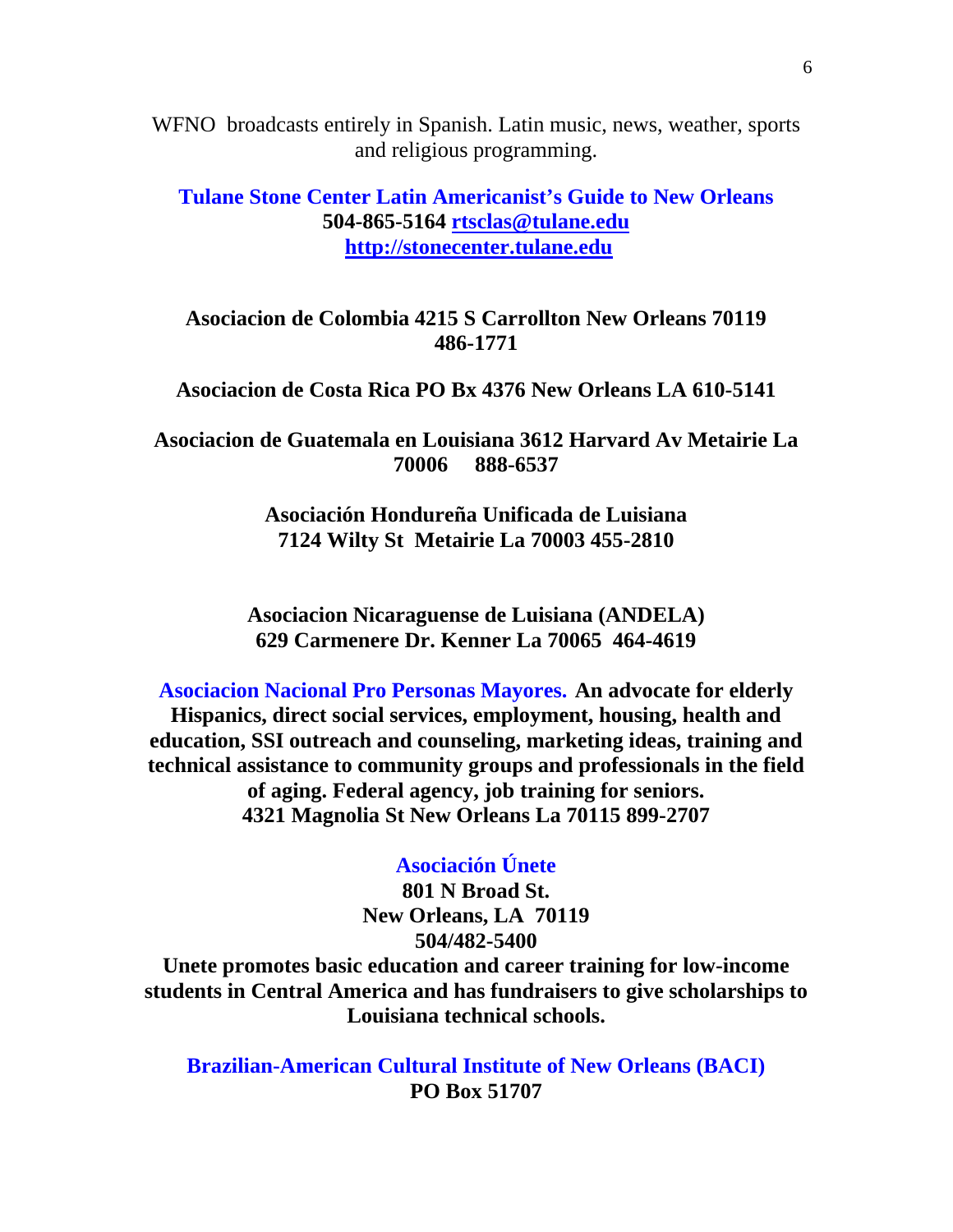WFNO broadcasts entirely in Spanish. Latin music, news, weather, sports and religious programming.

## **Tulane Stone Center Latin Americanist's Guide to New Orleans 504-865-5164 rtsclas@tulane.edu http://stonecenter.tulane.edu**

**Asociacion de Colombia 4215 S Carrollton New Orleans 70119 486-1771** 

### **Asociacion de Costa Rica PO Bx 4376 New Orleans LA 610-5141**

**Asociacion de Guatemala en Louisiana 3612 Harvard Av Metairie La 70006 888-6537** 

> **Asociación Hondureña Unificada de Luisiana 7124 Wilty St Metairie La 70003 455-2810**

**Asociacion Nicaraguense de Luisiana (ANDELA) 629 Carmenere Dr. Kenner La 70065 464-4619** 

**Asociacion Nacional Pro Personas Mayores. An advocate for elderly Hispanics, direct social services, employment, housing, health and education, SSI outreach and counseling, marketing ideas, training and technical assistance to community groups and professionals in the field of aging. Federal agency, job training for seniors. 4321 Magnolia St New Orleans La 70115 899-2707** 

### **Asociación Únete**

**801 N Broad St. New Orleans, LA 70119 504/482-5400 Unete promotes basic education and career training for low-income students in Central America and has fundraisers to give scholarships to Louisiana technical schools.** 

> **Brazilian-American Cultural Institute of New Orleans (BACI) PO Box 51707**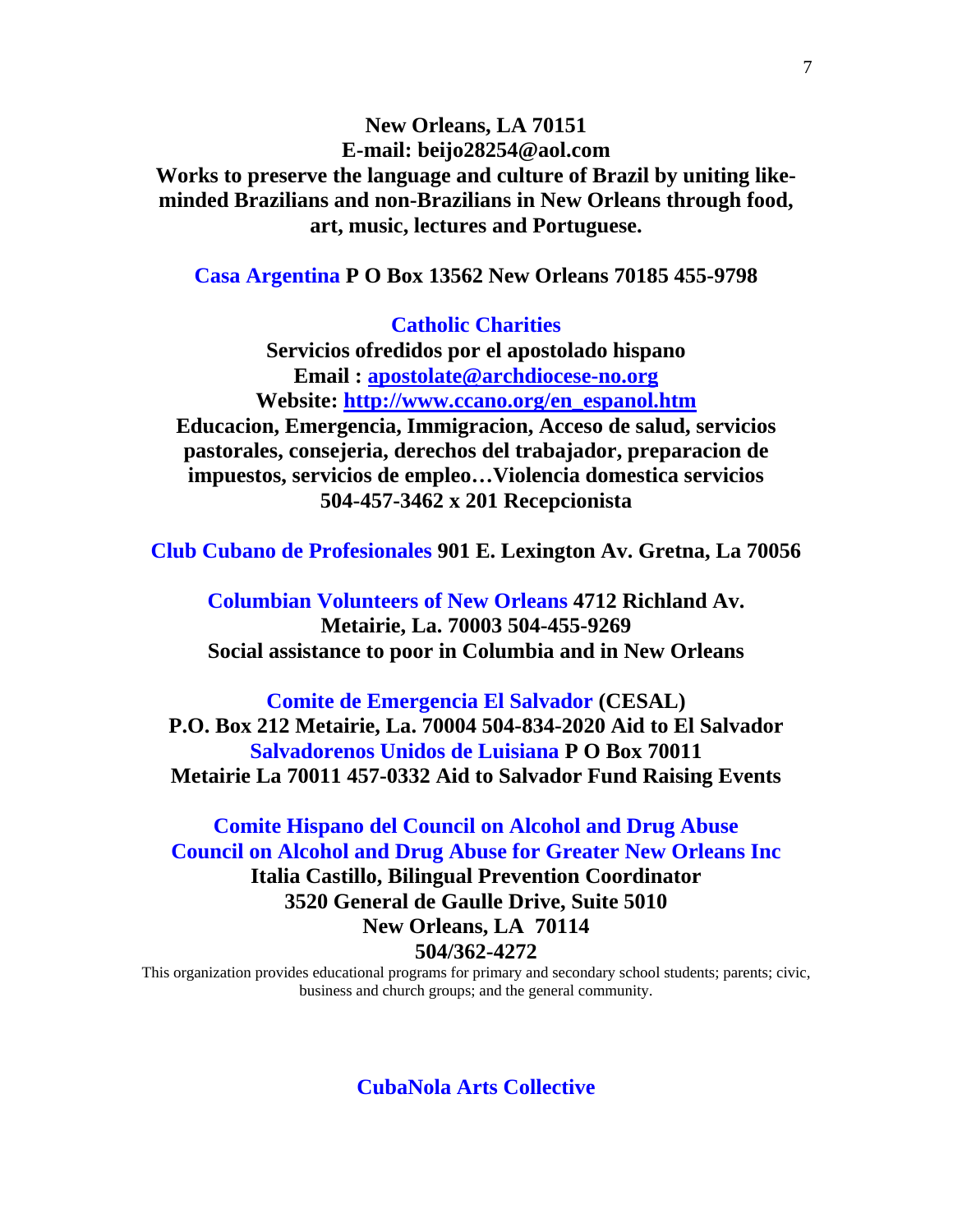**New Orleans, LA 70151 E-mail: beijo28254@aol.com Works to preserve the language and culture of Brazil by uniting likeminded Brazilians and non-Brazilians in New Orleans through food, art, music, lectures and Portuguese.** 

**Casa Argentina P O Box 13562 New Orleans 70185 455-9798** 

**Catholic Charities** 

**Servicios ofredidos por el apostolado hispano Email : apostolate@archdiocese-no.org Website: http://www.ccano.org/en\_espanol.htm Educacion, Emergencia, Immigracion, Acceso de salud, servicios pastorales, consejeria, derechos del trabajador, preparacion de impuestos, servicios de empleo…Violencia domestica servicios 504-457-3462 x 201 Recepcionista** 

**Club Cubano de Profesionales 901 E. Lexington Av. Gretna, La 70056** 

**Columbian Volunteers of New Orleans 4712 Richland Av. Metairie, La. 70003 504-455-9269 Social assistance to poor in Columbia and in New Orleans** 

**Comite de Emergencia El Salvador (CESAL) P.O. Box 212 Metairie, La. 70004 504-834-2020 Aid to El Salvador Salvadorenos Unidos de Luisiana P O Box 70011 Metairie La 70011 457-0332 Aid to Salvador Fund Raising Events** 

**Comite Hispano del Council on Alcohol and Drug Abuse Council on Alcohol and Drug Abuse for Greater New Orleans Inc Italia Castillo, Bilingual Prevention Coordinator 3520 General de Gaulle Drive, Suite 5010 New Orleans, LA 70114 504/362-4272** 

This organization provides educational programs for primary and secondary school students; parents; civic, business and church groups; and the general community.

**CubaNola Arts Collective**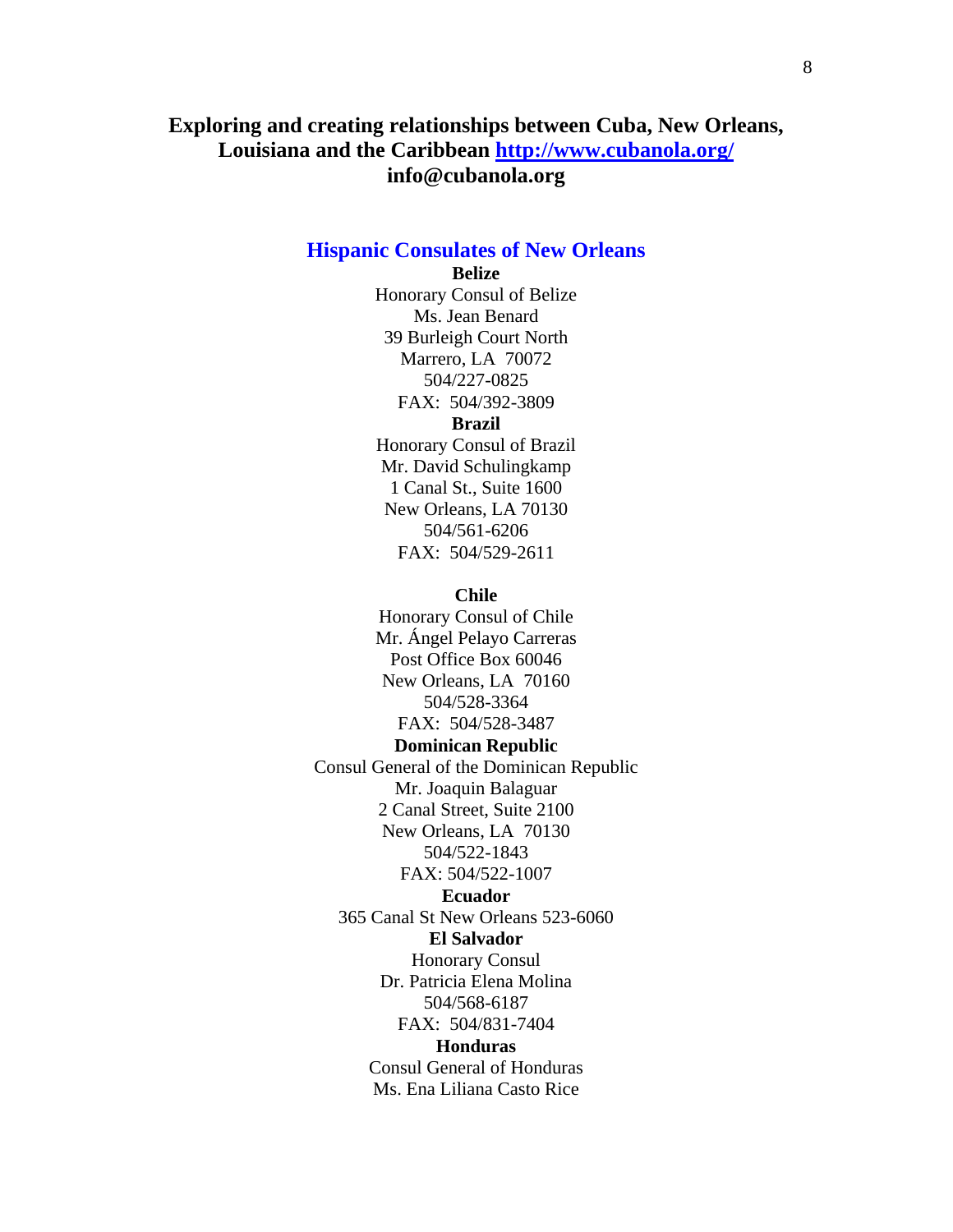## **Exploring and creating relationships between Cuba, New Orleans, Louisiana and the Caribbean http://www.cubanola.org/ info@cubanola.org**

## **Hispanic Consulates of New Orleans**

#### **Belize**

Honorary Consul of Belize Ms. Jean Benard 39 Burleigh Court North Marrero, LA 70072 504/227-0825 FAX: 504/392-3809

#### **Brazil**

Honorary Consul of Brazil Mr. David Schulingkamp 1 Canal St., Suite 1600 New Orleans, LA 70130 504/561-6206 FAX: 504/529-2611

#### **Chile**

Honorary Consul of Chile Mr. Ángel Pelayo Carreras Post Office Box 60046 New Orleans, LA 70160 504/528-3364 FAX: 504/528-3487 **Dominican Republic** Consul General of the Dominican Republic Mr. Joaquin Balaguar 2 Canal Street, Suite 2100 New Orleans, LA 70130 504/522-1843 FAX: 504/522-1007 **Ecuador**  365 Canal St New Orleans 523-6060 **El Salvador** Honorary Consul Dr. Patricia Elena Molina 504/568-6187 FAX: 504/831-7404 **Honduras** Consul General of Honduras Ms. Ena Liliana Casto Rice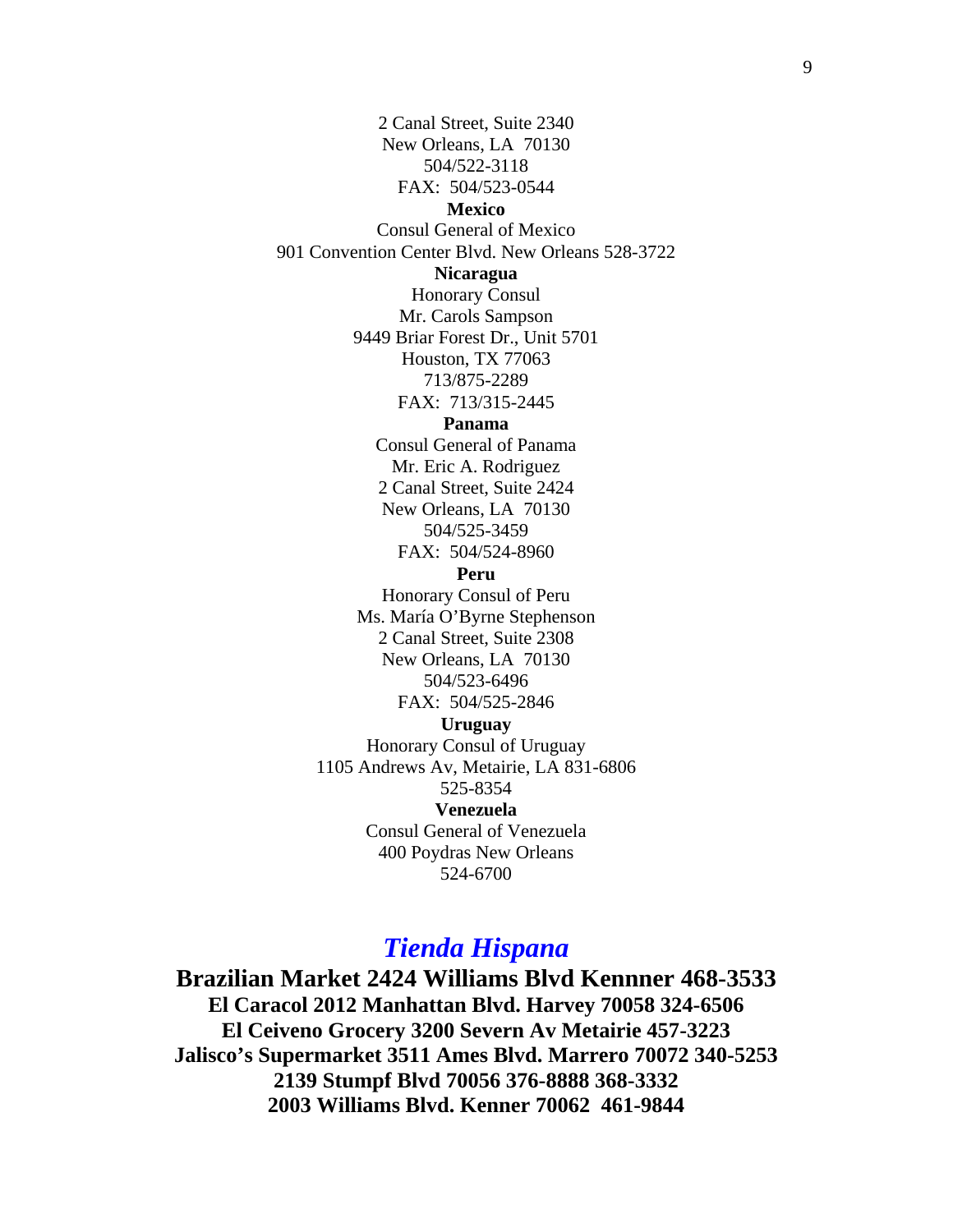2 Canal Street, Suite 2340 New Orleans, LA 70130 504/522-3118 FAX: 504/523-0544 **Mexico** Consul General of Mexico 901 Convention Center Blvd. New Orleans 528-3722 **Nicaragua** Honorary Consul Mr. Carols Sampson 9449 Briar Forest Dr., Unit 5701 Houston, TX 77063 713/875-2289 FAX: 713/315-2445 **Panama** Consul General of Panama Mr. Eric A. Rodriguez 2 Canal Street, Suite 2424 New Orleans, LA 70130 504/525-3459 FAX: 504/524-8960 **Peru** Honorary Consul of Peru Ms. María O'Byrne Stephenson 2 Canal Street, Suite 2308 New Orleans, LA 70130 504/523-6496 FAX: 504/525-2846 **Uruguay** Honorary Consul of Uruguay 1105 Andrews Av, Metairie, LA 831-6806 525-8354 **Venezuela** Consul General of Venezuela 400 Poydras New Orleans 524-6700

# *Tienda Hispana*

**Brazilian Market 2424 Williams Blvd Kennner 468-3533 El Caracol 2012 Manhattan Blvd. Harvey 70058 324-6506 El Ceiveno Grocery 3200 Severn Av Metairie 457-3223 Jalisco's Supermarket 3511 Ames Blvd. Marrero 70072 340-5253 2139 Stumpf Blvd 70056 376-8888 368-3332 2003 Williams Blvd. Kenner 70062 461-9844**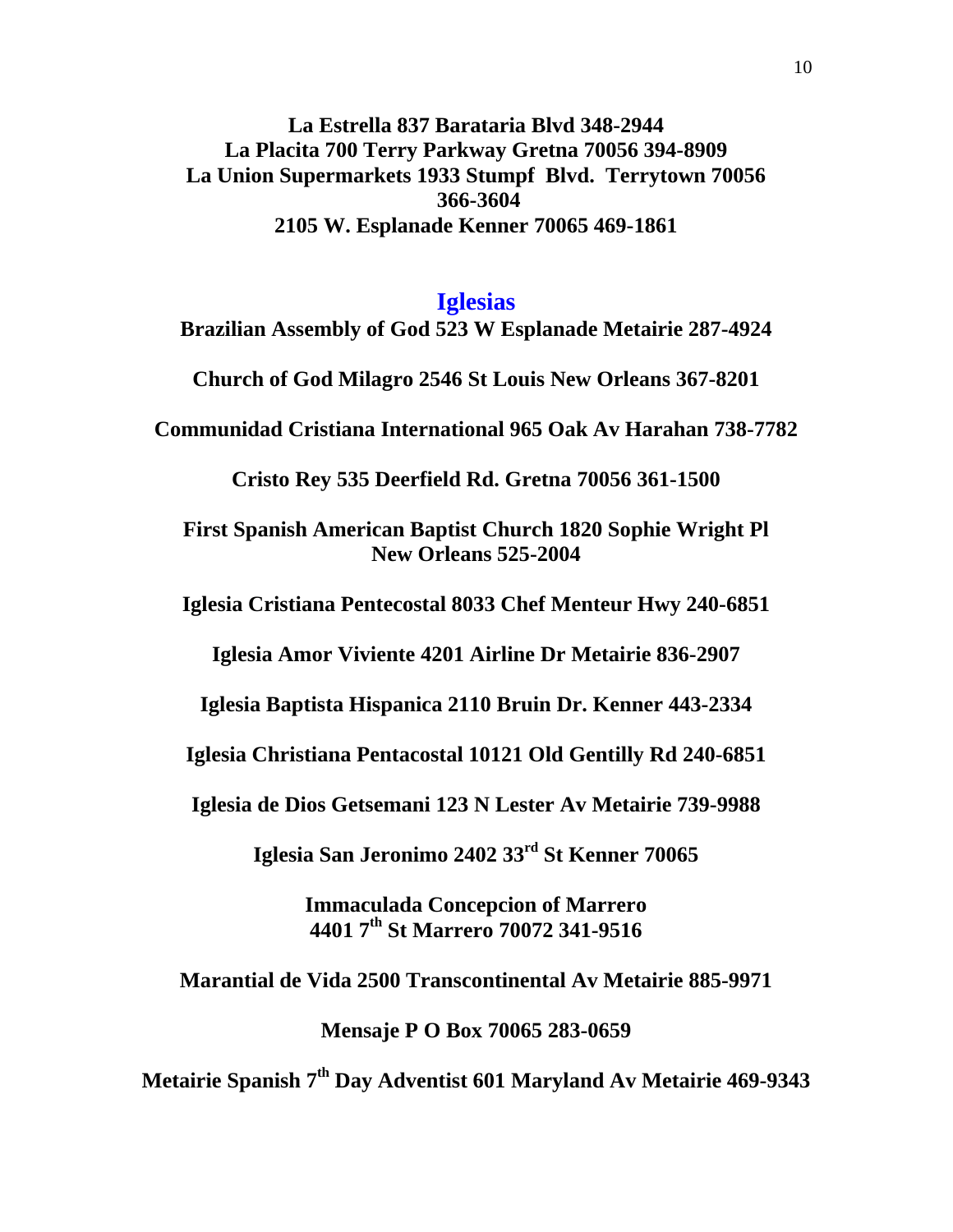**La Estrella 837 Barataria Blvd 348-2944 La Placita 700 Terry Parkway Gretna 70056 394-8909 La Union Supermarkets 1933 Stumpf Blvd. Terrytown 70056 366-3604 2105 W. Esplanade Kenner 70065 469-1861** 

### **Iglesias**

**Brazilian Assembly of God 523 W Esplanade Metairie 287-4924** 

**Church of God Milagro 2546 St Louis New Orleans 367-8201** 

**Communidad Cristiana International 965 Oak Av Harahan 738-7782** 

**Cristo Rey 535 Deerfield Rd. Gretna 70056 361-1500** 

**First Spanish American Baptist Church 1820 Sophie Wright Pl New Orleans 525-2004** 

**Iglesia Cristiana Pentecostal 8033 Chef Menteur Hwy 240-6851** 

**Iglesia Amor Viviente 4201 Airline Dr Metairie 836-2907** 

**Iglesia Baptista Hispanica 2110 Bruin Dr. Kenner 443-2334** 

**Iglesia Christiana Pentacostal 10121 Old Gentilly Rd 240-6851** 

**Iglesia de Dios Getsemani 123 N Lester Av Metairie 739-9988** 

**Iglesia San Jeronimo 2402 33rd St Kenner 70065** 

**Immaculada Concepcion of Marrero 4401 7th St Marrero 70072 341-9516** 

**Marantial de Vida 2500 Transcontinental Av Metairie 885-9971** 

**Mensaje P O Box 70065 283-0659** 

**Metairie Spanish 7th Day Adventist 601 Maryland Av Metairie 469-9343**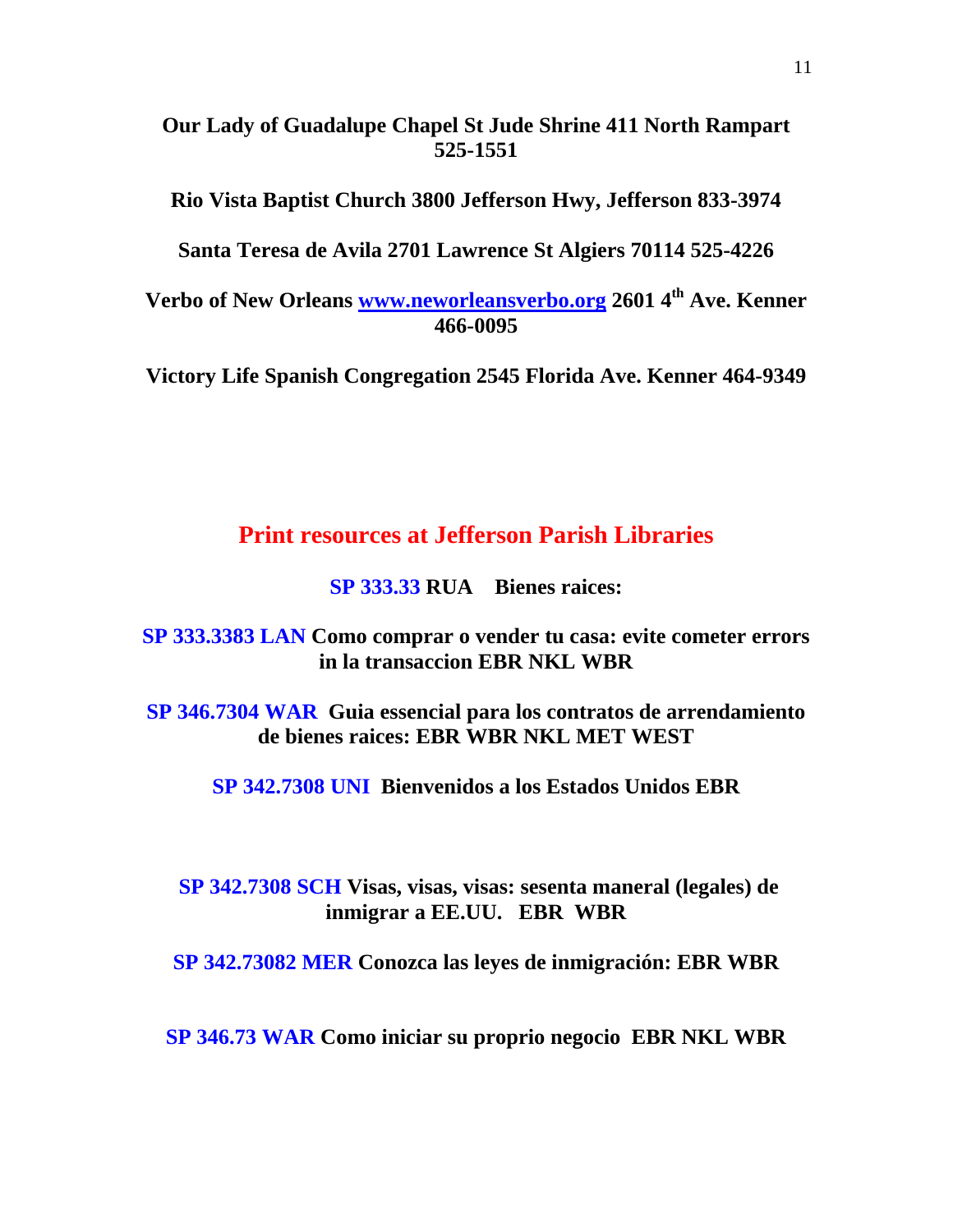## **Our Lady of Guadalupe Chapel St Jude Shrine 411 North Rampart 525-1551**

**Rio Vista Baptist Church 3800 Jefferson Hwy, Jefferson 833-3974** 

**Santa Teresa de Avila 2701 Lawrence St Algiers 70114 525-4226** 

**Verbo of New Orleans www.neworleansverbo.org 2601 4th Ave. Kenner 466-0095** 

**Victory Life Spanish Congregation 2545 Florida Ave. Kenner 464-9349** 

## **Print resources at Jefferson Parish Libraries**

**SP 333.33 RUA Bienes raices:** 

**SP 333.3383 LAN Como comprar o vender tu casa: evite cometer errors in la transaccion EBR NKL WBR** 

**SP 346.7304 WAR Guia essencial para los contratos de arrendamiento de bienes raices: EBR WBR NKL MET WEST** 

**SP 342.7308 UNI Bienvenidos a los Estados Unidos EBR** 

## **SP 342.7308 SCH Visas, visas, visas: sesenta maneral (legales) de inmigrar a EE.UU. EBR WBR**

**SP 342.73082 MER Conozca las leyes de inmigración: EBR WBR** 

**SP 346.73 WAR Como iniciar su proprio negocio EBR NKL WBR**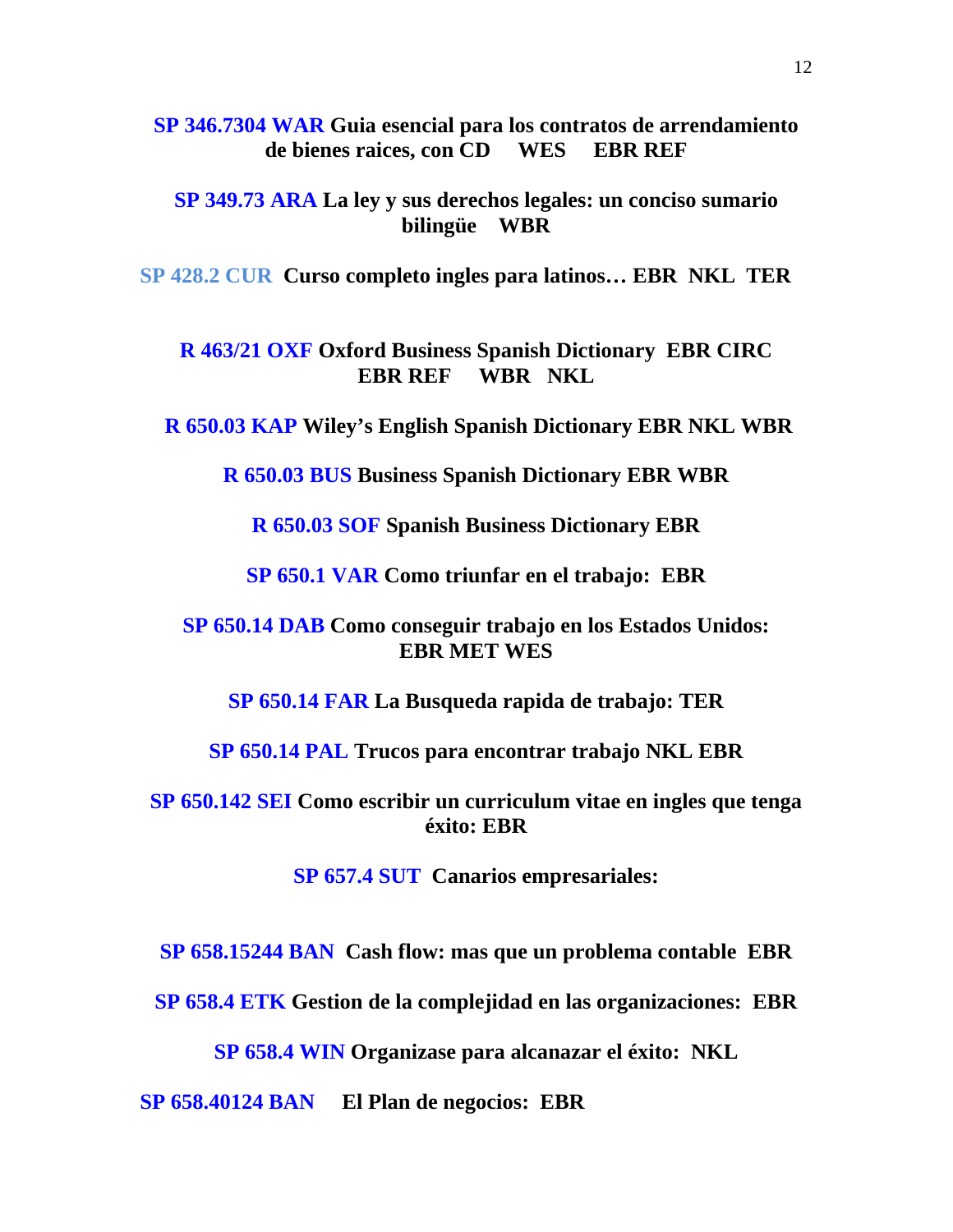**SP 346.7304 WAR Guia esencial para los contratos de arrendamiento de bienes raices, con CD WES EBR REF** 

**SP 349.73 ARA La ley y sus derechos legales: un conciso sumario bilingüe WBR** 

**SP 428.2 CUR Curso completo ingles para latinos… EBR NKL TER**

**R 463/21 OXF Oxford Business Spanish Dictionary EBR CIRC EBR REF WBR NKL** 

 **R 650.03 KAP Wiley's English Spanish Dictionary EBR NKL WBR** 

**R 650.03 BUS Business Spanish Dictionary EBR WBR** 

**R 650.03 SOF Spanish Business Dictionary EBR** 

**SP 650.1 VAR Como triunfar en el trabajo: EBR** 

**SP 650.14 DAB Como conseguir trabajo en los Estados Unidos: EBR MET WES** 

**SP 650.14 FAR La Busqueda rapida de trabajo: TER** 

**SP 650.14 PAL Trucos para encontrar trabajo NKL EBR** 

**SP 650.142 SEI Como escribir un curriculum vitae en ingles que tenga éxito: EBR** 

**SP 657.4 SUT Canarios empresariales:** 

**SP 658.15244 BAN Cash flow: mas que un problema contable EBR** 

**SP 658.4 ETK Gestion de la complejidad en las organizaciones: EBR** 

**SP 658.4 WIN Organizase para alcanazar el éxito: NKL** 

**SP 658.40124 BAN El Plan de negocios: EBR**